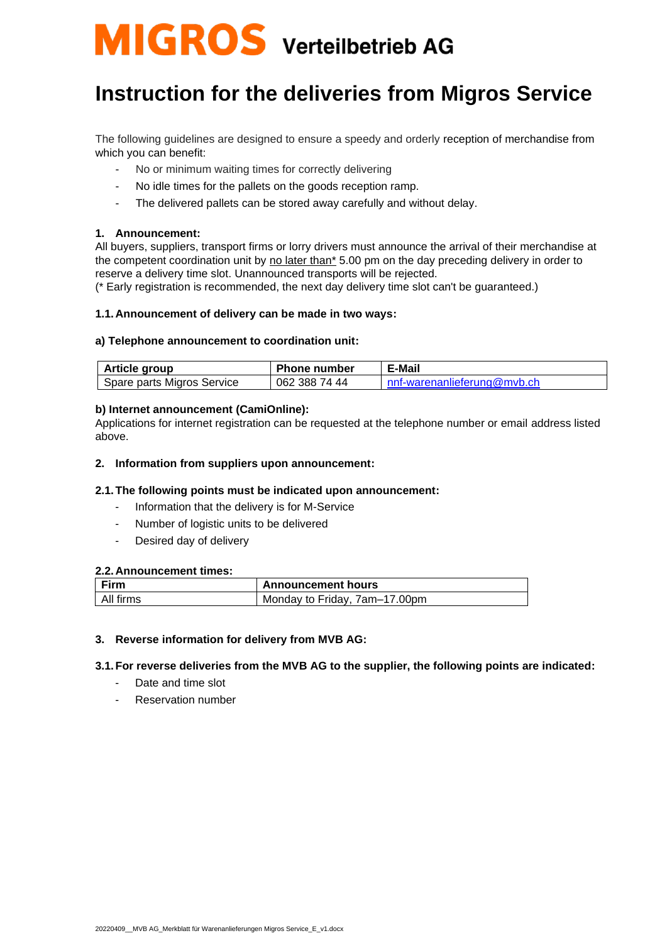# **MIGROS** Verteilbetrieb AG

# **Instruction for the deliveries from Migros Service**

The following guidelines are designed to ensure a speedy and orderly reception of merchandise from which you can benefit:

- No or minimum waiting times for correctly delivering
- No idle times for the pallets on the goods reception ramp.
- The delivered pallets can be stored away carefully and without delay.

#### **1. Announcement:**

All buyers, suppliers, transport firms or lorry drivers must announce the arrival of their merchandise at the competent coordination unit by no later than\* 5.00 pm on the day preceding delivery in order to reserve a delivery time slot. Unannounced transports will be rejected.

(\* Early registration is recommended, the next day delivery time slot can't be guaranteed.)

#### **1.1.Announcement of delivery can be made in two ways:**

#### **a) Telephone announcement to coordination unit:**

| Article group              | <b>Phone number</b> | E-Mail                      |
|----------------------------|---------------------|-----------------------------|
| Spare parts Migros Service | 062 388 74 44       | nnf-warenanlieferung@myb.ch |

#### **b) Internet announcement (CamiOnline):**

Applications for internet registration can be requested at the telephone number or email address listed above.

#### **2. Information from suppliers upon announcement:**

#### **2.1.The following points must be indicated upon announcement:**

- Information that the delivery is for M-Service
- Number of logistic units to be delivered
- Desired day of delivery

#### **2.2.Announcement times:**

| Firm      | <b>Announcement hours</b>     |
|-----------|-------------------------------|
| All firms | Monday to Friday, 7am-17.00pm |

#### **3. Reverse information for delivery from MVB AG:**

#### **3.1.For reverse deliveries from the MVB AG to the supplier, the following points are indicated:**

- Date and time slot
- Reservation number